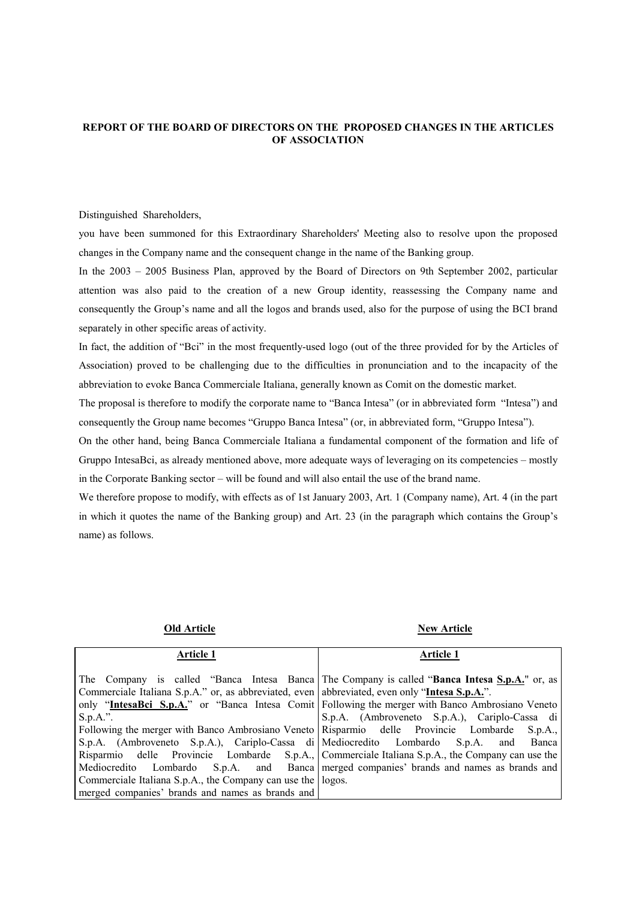## **REPORT OF THE BOARD OF DIRECTORS ON THE PROPOSED CHANGES IN THE ARTICLES OF ASSOCIATION**

Distinguished Shareholders,

you have been summoned for this Extraordinary Shareholders' Meeting also to resolve upon the proposed changes in the Company name and the consequent change in the name of the Banking group.

In the 2003 – 2005 Business Plan, approved by the Board of Directors on 9th September 2002, particular attention was also paid to the creation of a new Group identity, reassessing the Company name and consequently the Group's name and all the logos and brands used, also for the purpose of using the BCI brand separately in other specific areas of activity.

In fact, the addition of "Bci" in the most frequently-used logo (out of the three provided for by the Articles of Association) proved to be challenging due to the difficulties in pronunciation and to the incapacity of the abbreviation to evoke Banca Commerciale Italiana, generally known as Comit on the domestic market.

The proposal is therefore to modify the corporate name to "Banca Intesa" (or in abbreviated form "Intesa") and consequently the Group name becomes "Gruppo Banca Intesa" (or, in abbreviated form, "Gruppo Intesa").

On the other hand, being Banca Commerciale Italiana a fundamental component of the formation and life of Gruppo IntesaBci, as already mentioned above, more adequate ways of leveraging on its competencies – mostly in the Corporate Banking sector – will be found and will also entail the use of the brand name.

We therefore propose to modify, with effects as of 1st January 2003, Art. 1 (Company name), Art. 4 (in the part in which it quotes the name of the Banking group) and Art. 23 (in the paragraph which contains the Group's name) as follows.

| <b>Article 1</b>                                                                                | <b>Article 1</b>                                                                                   |
|-------------------------------------------------------------------------------------------------|----------------------------------------------------------------------------------------------------|
|                                                                                                 |                                                                                                    |
|                                                                                                 | The Company is called "Banca Intesa Banca The Company is called "Banca Intesa S.p.A." or, as       |
| Commerciale Italiana S.p.A." or, as abbreviated, even   abbreviated, even only "Intesa S.p.A.". |                                                                                                    |
|                                                                                                 | only "IntesaBci S.p.A." or "Banca Intesa Comit   Following the merger with Banco Ambrosiano Veneto |
| $S.p.A.$ ".                                                                                     | S.p.A. (Ambroveneto S.p.A.), Cariplo-Cassa di                                                      |
| Following the merger with Banco Ambrosiano Veneto Risparmio delle Provincie Lombarde S.p.A.,    |                                                                                                    |
|                                                                                                 | S.p.A. (Ambroveneto S.p.A.), Cariplo-Cassa di Mediocredito Lombardo S.p.A. and Banca               |
|                                                                                                 | Risparmio delle Provincie Lombarde S.p.A., Commerciale Italiana S.p.A., the Company can use the    |
| Mediocredito Lombardo S.p.A. and Banca merged companies' brands and names as brands and         |                                                                                                    |
| Commerciale Italiana S.p.A., the Company can use the logos.                                     |                                                                                                    |
| merged companies' brands and names as brands and                                                |                                                                                                    |

**Old Article New Article**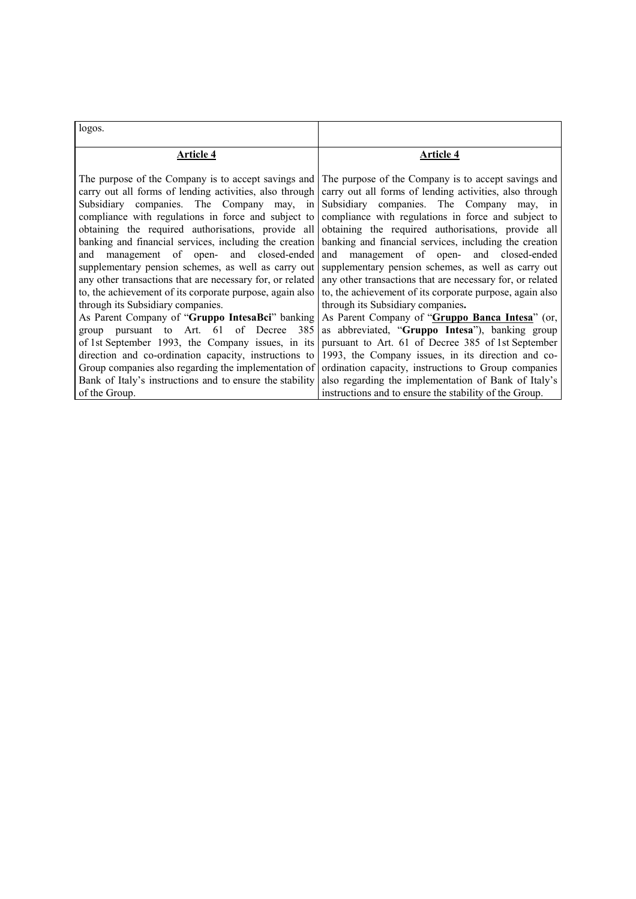| logos.                                                                                                                                                                                                                                                                                                                                                                                                                                                                                                                                                                                              |                                                                                                                                                                                                                                                                                                                                                                                                                                                                                                                                                                                                     |
|-----------------------------------------------------------------------------------------------------------------------------------------------------------------------------------------------------------------------------------------------------------------------------------------------------------------------------------------------------------------------------------------------------------------------------------------------------------------------------------------------------------------------------------------------------------------------------------------------------|-----------------------------------------------------------------------------------------------------------------------------------------------------------------------------------------------------------------------------------------------------------------------------------------------------------------------------------------------------------------------------------------------------------------------------------------------------------------------------------------------------------------------------------------------------------------------------------------------------|
| Article 4                                                                                                                                                                                                                                                                                                                                                                                                                                                                                                                                                                                           | Article 4                                                                                                                                                                                                                                                                                                                                                                                                                                                                                                                                                                                           |
| The purpose of the Company is to accept savings and<br>carry out all forms of lending activities, also through<br>Subsidiary companies. The Company may, in<br>compliance with regulations in force and subject to<br>obtaining the required authorisations, provide all<br>banking and financial services, including the creation<br>and management of open- and closed-ended<br>supplementary pension schemes, as well as carry out<br>any other transactions that are necessary for, or related<br>to, the achievement of its corporate purpose, again also<br>through its Subsidiary companies. | The purpose of the Company is to accept savings and<br>carry out all forms of lending activities, also through<br>Subsidiary companies. The Company may, in<br>compliance with regulations in force and subject to<br>obtaining the required authorisations, provide all<br>banking and financial services, including the creation<br>and management of open- and closed-ended<br>supplementary pension schemes, as well as carry out<br>any other transactions that are necessary for, or related<br>to, the achievement of its corporate purpose, again also<br>through its Subsidiary companies. |
| As Parent Company of "Gruppo IntesaBci" banking<br>pursuant to Art. 61 of Decree 385<br>group                                                                                                                                                                                                                                                                                                                                                                                                                                                                                                       | As Parent Company of "Gruppo Banca Intesa" (or,<br>as abbreviated, "Gruppo Intesa"), banking group                                                                                                                                                                                                                                                                                                                                                                                                                                                                                                  |
|                                                                                                                                                                                                                                                                                                                                                                                                                                                                                                                                                                                                     | of 1st September 1993, the Company issues, in its pursuant to Art. 61 of Decree 385 of 1st September                                                                                                                                                                                                                                                                                                                                                                                                                                                                                                |
|                                                                                                                                                                                                                                                                                                                                                                                                                                                                                                                                                                                                     | direction and co-ordination capacity, instructions to 1993, the Company issues, in its direction and co-                                                                                                                                                                                                                                                                                                                                                                                                                                                                                            |
|                                                                                                                                                                                                                                                                                                                                                                                                                                                                                                                                                                                                     | Group companies also regarding the implementation of ordination capacity, instructions to Group companies                                                                                                                                                                                                                                                                                                                                                                                                                                                                                           |
|                                                                                                                                                                                                                                                                                                                                                                                                                                                                                                                                                                                                     | Bank of Italy's instructions and to ensure the stability also regarding the implementation of Bank of Italy's                                                                                                                                                                                                                                                                                                                                                                                                                                                                                       |
| of the Group.                                                                                                                                                                                                                                                                                                                                                                                                                                                                                                                                                                                       | instructions and to ensure the stability of the Group.                                                                                                                                                                                                                                                                                                                                                                                                                                                                                                                                              |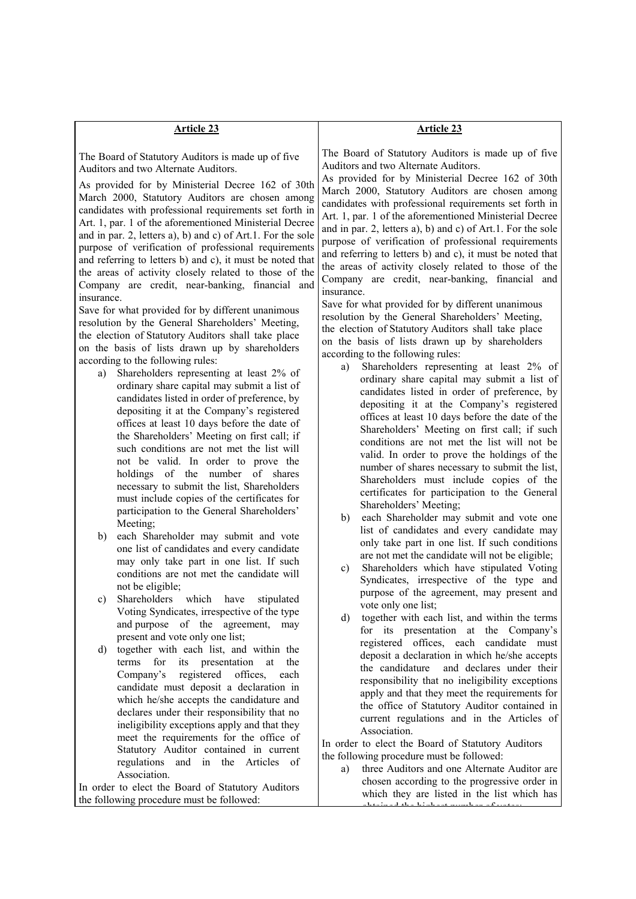| <b>Article 23</b>                                                                                                                                              | <b>Article 23</b>                                                                                                                               |
|----------------------------------------------------------------------------------------------------------------------------------------------------------------|-------------------------------------------------------------------------------------------------------------------------------------------------|
|                                                                                                                                                                |                                                                                                                                                 |
| The Board of Statutory Auditors is made up of five<br>Auditors and two Alternate Auditors.                                                                     | The Board of Statutory Auditors is made up of five<br>Auditors and two Alternate Auditors.<br>As provided for by Ministerial Decree 162 of 30th |
| As provided for by Ministerial Decree 162 of 30th<br>March 2000, Statutory Auditors are chosen among<br>candidates with professional requirements set forth in | March 2000, Statutory Auditors are chosen among<br>candidates with professional requirements set forth in                                       |
| Art. 1, par. 1 of the aforementioned Ministerial Decree                                                                                                        | Art. 1, par. 1 of the aforementioned Ministerial Decree<br>and in par. 2, letters a), b) and c) of Art.1. For the sole                          |
| and in par. 2, letters a), b) and c) of Art.1. For the sole<br>purpose of verification of professional requirements                                            | purpose of verification of professional requirements                                                                                            |
| and referring to letters b) and c), it must be noted that                                                                                                      | and referring to letters b) and c), it must be noted that                                                                                       |
| the areas of activity closely related to those of the                                                                                                          | the areas of activity closely related to those of the                                                                                           |
| Company are credit, near-banking, financial and                                                                                                                | Company are credit, near-banking, financial and<br>insurance.                                                                                   |
| insurance.                                                                                                                                                     | Save for what provided for by different unanimous                                                                                               |
| Save for what provided for by different unanimous<br>resolution by the General Shareholders' Meeting,                                                          | resolution by the General Shareholders' Meeting,                                                                                                |
| the election of Statutory Auditors shall take place                                                                                                            | the election of Statutory Auditors shall take place                                                                                             |
| on the basis of lists drawn up by shareholders                                                                                                                 | on the basis of lists drawn up by shareholders                                                                                                  |
| according to the following rules:                                                                                                                              | according to the following rules:                                                                                                               |
| Shareholders representing at least 2% of<br>a)                                                                                                                 | Shareholders representing at least 2% of<br>a)<br>ordinary share capital may submit a list of                                                   |
| ordinary share capital may submit a list of                                                                                                                    | candidates listed in order of preference, by                                                                                                    |
| candidates listed in order of preference, by                                                                                                                   | depositing it at the Company's registered                                                                                                       |
| depositing it at the Company's registered                                                                                                                      | offices at least 10 days before the date of the                                                                                                 |
| offices at least 10 days before the date of<br>the Shareholders' Meeting on first call; if                                                                     | Shareholders' Meeting on first call; if such                                                                                                    |
| such conditions are not met the list will                                                                                                                      | conditions are not met the list will not be                                                                                                     |
| not be valid. In order to prove the                                                                                                                            | valid. In order to prove the holdings of the                                                                                                    |
| holdings of the number of shares                                                                                                                               | number of shares necessary to submit the list,                                                                                                  |
| necessary to submit the list, Shareholders                                                                                                                     | Shareholders must include copies of the<br>certificates for participation to the General                                                        |
| must include copies of the certificates for                                                                                                                    | Shareholders' Meeting;                                                                                                                          |
| participation to the General Shareholders'                                                                                                                     | each Shareholder may submit and vote one<br>b)                                                                                                  |
| Meeting;                                                                                                                                                       | list of candidates and every candidate may                                                                                                      |
| each Shareholder may submit and vote<br>b)<br>one list of candidates and every candidate                                                                       | only take part in one list. If such conditions                                                                                                  |
| may only take part in one list. If such                                                                                                                        | are not met the candidate will not be eligible;                                                                                                 |
| conditions are not met the candidate will                                                                                                                      | Shareholders which have stipulated Voting<br>$\mathbf{c})$                                                                                      |
| not be eligible;                                                                                                                                               | Syndicates, irrespective of the type and                                                                                                        |
| Shareholders which have<br>stipulated<br>$\mathbf{c})$                                                                                                         | purpose of the agreement, may present and<br>vote only one list;                                                                                |
| Voting Syndicates, irrespective of the type                                                                                                                    | d)<br>together with each list, and within the terms                                                                                             |
| and purpose of the agreement, may                                                                                                                              | for its presentation at the Company's                                                                                                           |
| present and vote only one list;                                                                                                                                | registered offices, each candidate must                                                                                                         |
| together with each list, and within the<br>d)<br>terms<br>for<br>presentation<br>its<br>at<br>the                                                              | deposit a declaration in which he/she accepts                                                                                                   |
| registered<br>Company's<br>offices,<br>each                                                                                                                    | and declares under their<br>the candidature                                                                                                     |
| candidate must deposit a declaration in                                                                                                                        | responsibility that no ineligibility exceptions                                                                                                 |
| which he/she accepts the candidature and                                                                                                                       | apply and that they meet the requirements for                                                                                                   |
| declares under their responsibility that no                                                                                                                    | the office of Statutory Auditor contained in<br>current regulations and in the Articles of                                                      |
| ineligibility exceptions apply and that they                                                                                                                   | Association.                                                                                                                                    |
| meet the requirements for the office of                                                                                                                        | In order to elect the Board of Statutory Auditors                                                                                               |
| Statutory Auditor contained in current                                                                                                                         | the following procedure must be followed:                                                                                                       |
| regulations and in the Articles of<br>Association.                                                                                                             | three Auditors and one Alternate Auditor are<br>a)                                                                                              |
| In order to elect the Board of Statutory Auditors                                                                                                              | chosen according to the progressive order in                                                                                                    |
| the following procedure must be followed:                                                                                                                      | which they are listed in the list which has<br>وتكرم المماثلة ومستحق والمستحلة والمنافية المستقما                                               |

obtained the highest number of votes;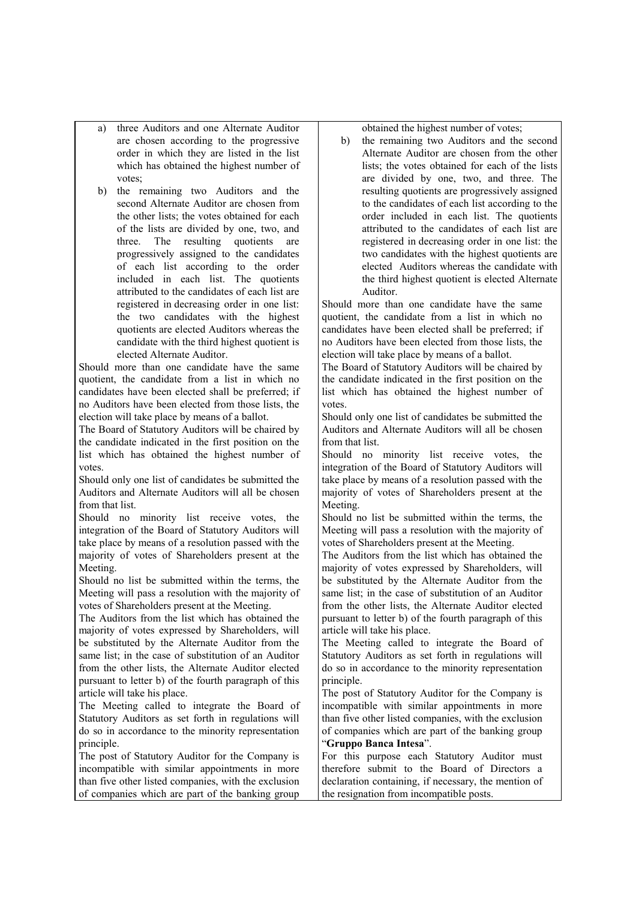- a) three Auditors and one Alternate Auditor are chosen according to the progressive order in which they are listed in the list which has obtained the highest number of votes;
- b) the remaining two Auditors and the second Alternate Auditor are chosen from the other lists; the votes obtained for each of the lists are divided by one, two, and three. The resulting quotients are progressively assigned to the candidates of each list according to the order included in each list. The quotients attributed to the candidates of each list are registered in decreasing order in one list: the two candidates with the highest quotients are elected Auditors whereas the candidate with the third highest quotient is elected Alternate Auditor.

Should more than one candidate have the same quotient, the candidate from a list in which no candidates have been elected shall be preferred; if no Auditors have been elected from those lists, the election will take place by means of a ballot.

The Board of Statutory Auditors will be chaired by the candidate indicated in the first position on the list which has obtained the highest number of votes.

Should only one list of candidates be submitted the Auditors and Alternate Auditors will all be chosen from that list.

Should no minority list receive votes, the integration of the Board of Statutory Auditors will take place by means of a resolution passed with the majority of votes of Shareholders present at the Meeting.

Should no list be submitted within the terms, the Meeting will pass a resolution with the majority of votes of Shareholders present at the Meeting.

The Auditors from the list which has obtained the majority of votes expressed by Shareholders, will be substituted by the Alternate Auditor from the same list; in the case of substitution of an Auditor from the other lists, the Alternate Auditor elected pursuant to letter b) of the fourth paragraph of this article will take his place.

The Meeting called to integrate the Board of Statutory Auditors as set forth in regulations will do so in accordance to the minority representation principle.

The post of Statutory Auditor for the Company is incompatible with similar appointments in more than five other listed companies, with the exclusion of companies which are part of the banking group obtained the highest number of votes;

b) the remaining two Auditors and the second Alternate Auditor are chosen from the other lists; the votes obtained for each of the lists are divided by one, two, and three. The resulting quotients are progressively assigned to the candidates of each list according to the order included in each list. The quotients attributed to the candidates of each list are registered in decreasing order in one list: the two candidates with the highest quotients are elected Auditors whereas the candidate with the third highest quotient is elected Alternate Auditor.

Should more than one candidate have the same quotient, the candidate from a list in which no candidates have been elected shall be preferred; if no Auditors have been elected from those lists, the election will take place by means of a ballot.

The Board of Statutory Auditors will be chaired by the candidate indicated in the first position on the list which has obtained the highest number of votes.

Should only one list of candidates be submitted the Auditors and Alternate Auditors will all be chosen from that list.

Should no minority list receive votes, the integration of the Board of Statutory Auditors will take place by means of a resolution passed with the majority of votes of Shareholders present at the Meeting.

Should no list be submitted within the terms, the Meeting will pass a resolution with the majority of votes of Shareholders present at the Meeting.

The Auditors from the list which has obtained the majority of votes expressed by Shareholders, will be substituted by the Alternate Auditor from the same list; in the case of substitution of an Auditor from the other lists, the Alternate Auditor elected pursuant to letter b) of the fourth paragraph of this article will take his place.

The Meeting called to integrate the Board of Statutory Auditors as set forth in regulations will do so in accordance to the minority representation principle.

The post of Statutory Auditor for the Company is incompatible with similar appointments in more than five other listed companies, with the exclusion of companies which are part of the banking group "**Gruppo Banca Intesa**".

For this purpose each Statutory Auditor must therefore submit to the Board of Directors a declaration containing, if necessary, the mention of the resignation from incompatible posts.